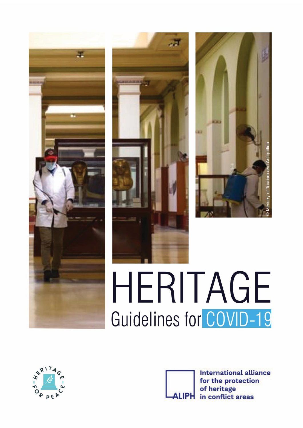





# HERITAGE Guidelines for COVID-19



**International alliance** for the protection of heritage **LIPH** in conflict areas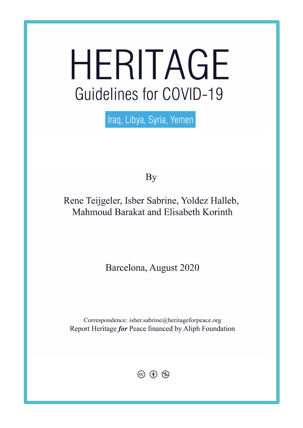# HERITAGE Guidelines for COVID-19

Iraq, Libya, Syria, Yemen

By

# Rene Teijgeler, Isber Sabrine, Yoldez Halleb, Mahmoud Barakat and Elisabeth Korinth

Barcelona, August 2020

Correspondence: isber.sabrine@heritageforpeace.org Report Heritage for Peace financed by Aliph Foundation

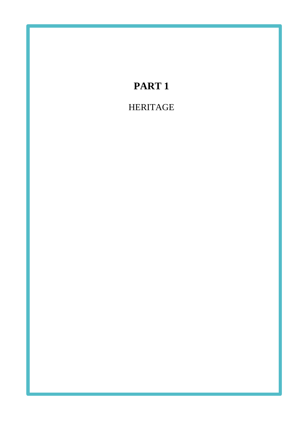# **PART 1** HERITAGE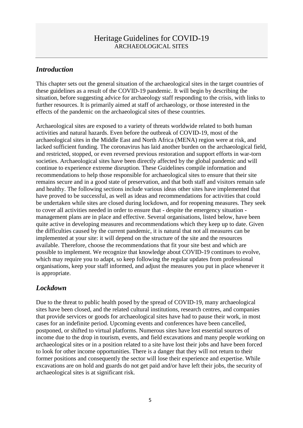# *Introduction*

This chapter sets out the general situation of the archaeological sites in the target countries of these guidelines as a result of the COVID-19 pandemic. It will begin by describing the situation, before suggesting advice for archaeology staff responding to the crisis, with links to further resources. It is primarily aimed at staff of archaeology, or those interested in the effects of the pandemic on the archaeological sites of these countries.

Archaeological sites are exposed to a variety of threats worldwide related to both human activities and natural hazards. Even before the outbreak of COVID-19, most of the archaeological sites in the Middle East and North Africa (MENA) region were at risk, and lacked sufficient funding. The coronavirus has laid another burden on the archaeological field, and restricted, stopped, or even reversed previous restoration and support efforts in war-torn societies. Archaeological sites have been directly affected by the global pandemic and will continue to experience extreme disruption. These Guidelines compile information and recommendations to help those responsible for archaeological sites to ensure that their site remains secure and in a good state of preservation, and that both staff and visitors remain safe and healthy. The following sections include various ideas other sites have implemented that have proved to be successful, as well as ideas and recommendations for activities that could be undertaken while sites are closed during lockdown, and for reopening measures. They seek to cover all activities needed in order to ensure that - despite the emergency situation management plans are in place and effective. Several organisations, listed below, have been quite active in developing measures and recommendations which they keep up to date. Given the difficulties caused by the current pandemic, it is natural that not all measures can be implemented at your site: it will depend on the structure of the site and the resources available. Therefore, choose the recommendations that fit your site best and which are possible to implement. We recognize that knowledge about COVID-19 continues to evolve, which may require you to adapt, so keep following the regular updates from professional organisations, keep your staff informed, and adjust the measures you put in place whenever it is appropriate.

# *Lockdown*

Due to the threat to public health posed by the spread of COVID-19, many archaeological sites have been closed, and the related cultural institutions, research centres, and companies that provide services or goods for archaeological sites have had to pause their work, in most cases for an indefinite period. Upcoming events and conferences have been cancelled, postponed, or shifted to virtual platforms. Numerous sites have lost essential sources of income due to the drop in tourism, events, and field excavations and many people working on archaeological sites or in a position related to a site have lost their jobs and have been forced to look for other income opportunities. There is a danger that they will not return to their former positions and consequently the sector will lose their experience and expertise. While excavations are on hold and guards do not get paid and/or have left their jobs, the security of archaeological sites is at significant risk.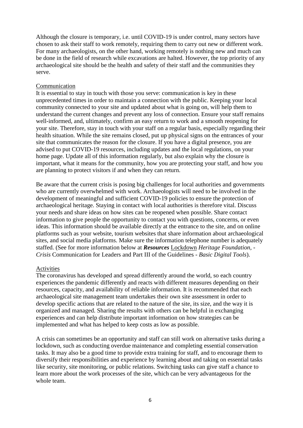Although the closure is temporary, i.e. until COVID-19 is under control, many sectors have chosen to ask their staff to work remotely, requiring them to carry out new or different work. For many archaeologists, on the other hand, working remotely is nothing new and much can be done in the field of research while excavations are halted. However, the top priority of any archaeological site should be the health and safety of their staff and the communities they serve.

#### Communication

It is essential to stay in touch with those you serve: communication is key in these unprecedented times in order to maintain a connection with the public. Keeping your local community connected to your site and updated about what is going on, will help them to understand the current changes and prevent any loss of connection. Ensure your staff remains well-informed, and, ultimately, confirm an easy return to work and a smooth reopening for your site. Therefore, stay in touch with your staff on a regular basis, especially regarding their health situation. While the site remains closed, put up physical signs on the entrances of your site that communicates the reason for the closure. If you have a digital presence, you are advised to put COVID-19 resources, including updates and the local regulations, on your home page. Update all of this information regularly, but also explain why the closure is important, what it means for the community, how you are protecting your staff, and how you are planning to protect visitors if and when they can return.

Be aware that the current crisis is posing big challenges for local authorities and governments who are currently overwhelmed with work. Archaeologists will need to be involved in the development of meaningful and sufficient COVID-19 policies to ensure the protection of archaeological heritage. Staying in contact with local authorities is therefore vital. Discuss your needs and share ideas on how sites can be reopened when possible. Share contact information to give people the opportunity to contact you with questions, concerns, or even ideas. This information should be available directly at the entrance to the site, and on online platforms such as your website, tourism websites that share information about archaeological sites, and social media platforms. Make sure the information telephone number is adequately staffed. (See for more information below at *Resources* Lockdown *Heritage Foundation, - Crisis* Communication for Leaders and Part III of the Guidelines - *Basic Digital Tools*).

#### Activities

The coronavirus has developed and spread differently around the world, so each country experiences the pandemic differently and reacts with different measures depending on their resources, capacity, and availability of reliable information. It is recommended that each archaeological site management team undertakes their own site assessment in order to develop specific actions that are related to the nature of the site, its size, and the way it is organized and managed. Sharing the results with others can be helpful in exchanging experiences and can help distribute important information on how strategies can be implemented and what has helped to keep costs as low as possible.

A crisis can sometimes be an opportunity and staff can still work on alternative tasks during a lockdown, such as conducting overdue maintenance and completing essential conservation tasks. It may also be a good time to provide extra training for staff, and to encourage them to diversify their responsibilities and experience by learning about and taking on essential tasks like security, site monitoring, or public relations. Switching tasks can give staff a chance to learn more about the work processes of the site, which can be very advantageous for the whole team.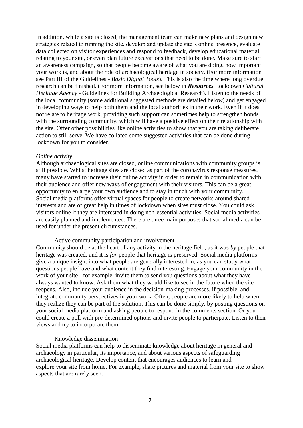In addition, while a site is closed, the management team can make new plans and design new strategies related to running the site, develop and update the site's online presence, evaluate data collected on visitor experiences and respond to feedback, develop educational material relating to your site, or even plan future excavations that need to be done. Make sure to start an awareness campaign, so that people become aware of what you are doing, how important your work is, and about the role of archaeological heritage in society. (For more information see Part III of the Guidelines - *Basic Digital Tools*). This is also the time where long overdue research can be finished. (For more information, see below in *Resources* Lockdown *Cultural Heritage Agency* - Guidelines for Building Archaeological Research). Listen to the needs of the local community (some additional suggested methods are detailed below) and get engaged in developing ways to help both them and the local authorities in their work. Even if it does not relate to heritage work, providing such support can sometimes help to strengthen bonds with the surrounding community, which will have a positive effect on their relationship with the site. Offer other possibilities like online activities to show that you are taking deliberate action to still serve. We have collated some suggested activities that can be done during lockdown for you to consider.

#### *Online activity*

Although archaeological sites are closed, online communications with community groups is still possible. Whilst heritage sites are closed as part of the coronavirus response measures, many have started to increase their online activity in order to remain in communication with their audience and offer new ways of engagement with their visitors. This can be a great opportunity to enlarge your own audience and to stay in touch with your community. Social media platforms offer virtual spaces for people to create networks around shared interests and are of great help in times of lockdown when sites must close. You could ask visitors online if they are interested in doing non-essential activities. Social media activities are easily planned and implemented. There are three main purposes that social media can be used for under the present circumstances.

#### Active community participation and involvement

Community should be at the heart of any activity in the heritage field, as it was *by* people that heritage was created, and it is *for* people that heritage is preserved. Social media platforms give a unique insight into what people are generally interested in, as you can study what questions people have and what content they find interesting. Engage your community in the work of your site - for example, invite them to send you questions about what they have always wanted to know. Ask them what they would like to see in the future when the site reopens. Also, include your audience in the decision-making processes, if possible, and integrate community perspectives in your work. Often, people are more likely to help when they realize they can be part of the solution. This can be done simply, by posting questions on your social media platform and asking people to respond in the comments section. Or you could create a poll with pre-determined options and invite people to participate. Listen to their views and try to incorporate them.

#### Knowledge dissemination

Social media platforms can help to disseminate knowledge about heritage in general and archaeology in particular, its importance, and about various aspects of safeguarding archaeological heritage. Develop content that encourages audiences to learn and explore your site from home. For example, share pictures and material from your site to show aspects that are rarely seen.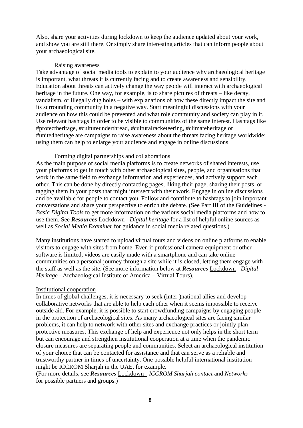Also, share your activities during lockdown to keep the audience updated about your work, and show you are still there. Or simply share interesting articles that can inform people about your archaeological site.

#### Raising awareness

Take advantage of social media tools to explain to your audience why archaeological heritage is important, what threats it is currently facing and to create awareness and sensibility. Education about threats can actively change the way people will interact with archaeological heritage in the future. One way, for example, is to share pictures of threats – like decay, vandalism, or illegally dug holes – with explanations of how these directly impact the site and its surrounding community in a negative way. Start meaningful discussions with your audience on how this could be prevented and what role community and society can play in it. Use relevant hashtags in order to be visible to communities of the same interest. Hashtags like #protectheritage, #cultureunderthread, #culturalracketeering, #climateheritage or #unite4heritage are campaigns to raise awareness about the threats facing heritage worldwide; using them can help to enlarge your audience and engage in online discussions.

#### Forming digital partnerships and collaborations

As the main purpose of social media platforms is to create networks of shared interests, use your platforms to get in touch with other archaeological sites, people, and organisations that work in the same field to exchange information and experiences, and actively support each other. This can be done by directly contacting pages, liking their page, sharing their posts, or tagging them in your posts that might intersect with their work. Engage in online discussions and be available for people to contact you. Follow and contribute to hashtags to join important conversations and share your perspective to enrich the debate. (See Part III of the Guidelines - *Basic Digital Tools* to get more information on the various social media platforms and how to use them. See *Resources* Lockdown - *Digital heritage* for a list of helpful online sources as well as *Social Media Examiner* for guidance in social media related questions.)

Many institutions have started to upload virtual tours and videos on online platforms to enable visitors to engage with sites from home. Even if professional camera equipment or other software is limited, videos are easily made with a smartphone and can take online communities on a personal journey through a site while it is closed, letting them engage with the staff as well as the site. (See more information below at *Resources* Lockdown - *Digital Heritage* - Archaeological Institute of America – Virtual Tours).

#### Institutional cooperation

In times of global challenges, it is necessary to seek (inter-)national allies and develop collaborative networks that are able to help each other when it seems impossible to receive outside aid. For example, it is possible to start crowdfunding campaigns by engaging people in the protection of archaeological sites. As many archaeological sites are facing similar problems, it can help to network with other sites and exchange practices or jointly plan protective measures. This exchange of help and experience not only helps in the short term but can encourage and strengthen institutional cooperation at a time when the pandemic closure measures are separating people and communities. Select an archaeological institution of your choice that can be contacted for assistance and that can serve as a reliable and trustworthy partner in times of uncertainty. One possible helpful international institution might be ICCROM Sharjah in the UAE, for example.

(For more details, see *Resources* Lockdown - *ICCROM Sharjah contact* and *Networks*  for possible partners and groups.)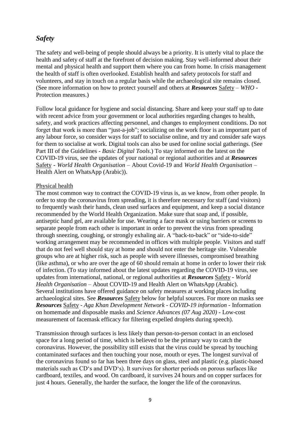# *Safety*

The safety and well-being of people should always be a priority. It is utterly vital to place the health and safety of staff at the forefront of decision making. Stay well-informed about their mental and physical health and support them where you can from home. In crisis management the health of staff is often overlooked. Establish health and safety protocols for staff and volunteers, and stay in touch on a regular basis while the archaeological site remains closed. (See more information on how to protect yourself and others at *Resources* Safety – *WHO -* Protection measures.)

Follow local guidance for hygiene and social distancing. Share and keep your staff up to date with recent advice from your government or local authorities regarding changes to health, safety, and work practices affecting personnel, and changes to employment conditions. Do not forget that work is more than "just-a-job"; socializing on the work floor is an important part of any labour force, so consider ways for staff to socialise online, and try and consider safe ways for them to socialise at work. Digital tools can also be used for online social gatherings. (See Part III of the Guidelines - *Basic Digital Tools*.) To stay informed on the latest on the COVID-19 virus, see the updates of your national or regional authorities and at *Resources*  Safety *- World Health Organisation –* About Covid-19 and *World Health Organisation* – Health Alert on WhatsApp (Arabic)).

#### Physical health

The most common way to contract the COVID-19 virus is, as we know, from other people. In order to stop the coronavirus from spreading, it is therefore necessary for staff (and visitors) to frequently wash their hands, clean used surfaces and equipment, and keep a social distance recommended by the World Health Organization. Make sure that soap and, if possible, antiseptic hand gel, are available for use. Wearing a face mask or using barriers or screens to separate people from each other is important in order to prevent the virus from spreading through sneezing, coughing, or strongly exhaling air. A "back-to-back" or "side-to-side" working arrangement may be recommended in offices with multiple people. Visitors and staff that do not feel well should stay at home and should not enter the heritage site. Vulnerable groups who are at higher risk, such as people with severe illnesses, compromised breathing (like asthma), or who are over the age of 60 should remain at home in order to lower their risk of infection. (To stay informed about the latest updates regarding the COVID-19 virus, see updates from international, national, or regional authorities at *Resources* Safety - *World Health Organisation –* About COVID-19 and Health Alert on WhatsApp (Arabic). Several institutions have offered guidance on safety measures at working places including archaeological sites. See *Resources* Safety below for helpful sources. For more on masks see *Resources* Safety - *Aga Khan Development Network - COVID-19 information -* Information on homemade and disposable masks and *Science Advances (07 Aug 2020) -* Low-cost measurement of facemask efficacy for filtering expelled droplets during speech).

Transmission through surfaces is less likely than person-to-person contact in an enclosed space for a long period of time, which is believed to be the primary way to catch the coronavirus. However, the possibility still exists that the virus could be spread by touching contaminated surfaces and then touching your nose, mouth or eyes. The longest survival of the coronavirus found so far has been three days on glass, steel and plastic (e.g. plastic-based materials such as CD's and DVD's). It survives for shorter periods on porous surfaces like cardboard, textiles, and wood. On cardboard, it survives 24 hours and on copper surfaces for just 4 hours. Generally, the harder the surface, the longer the life of the coronavirus.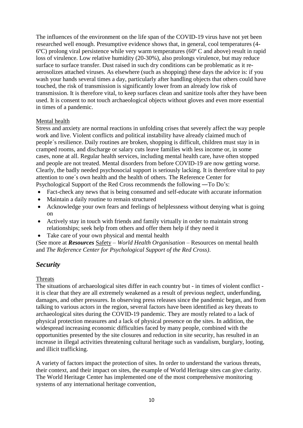The influences of the environment on the life span of the COVID-19 virus have not yet been researched well enough. Presumptive evidence shows that, in general, cool temperatures (4-  $6^{\circ}$ C) prolong viral persistence while very warm temperatures ( $60^{\circ}$ C and above) result in rapid loss of virulence. Low relative humidity (20-30%), also prolongs virulence, but may reduce surface to surface transfer. Dust raised in such dry conditions can be problematic as it reaerosolizes attached viruses. As elsewhere (such as shopping) these days the advice is: if you wash your hands several times a day, particularly after handling objects that others could have touched, the risk of transmission is significantly lower from an already low risk of transmission. It is therefore vital, to keep surfaces clean and sanitize tools after they have been used. It is consent to not touch archaeological objects without gloves and even more essential in times of a pandemic.

#### Mental health

Stress and anxiety are normal reactions in unfolding crises that severely affect the way people work and live. Violent conflicts and political instability have already claimed much of people´s resilience. Daily routines are broken, shopping is difficult, children must stay in in cramped rooms, and discharge or salary cuts leave families with less income or, in some cases, none at all. Regular health services, including mental health care, have often stopped and people are not treated. Mental disorders from before COVID-19 are now getting worse. Clearly, the badly needed psychosocial support is seriously lacking. It is therefore vital to pay attention to one´s own health and the health of others. The Reference Center for Psychological Support of the Red Cross recommends the following ―To Do's:

- Fact-check any news that is being consumed and self-educate with accurate information
- Maintain a daily routine to remain structured
- Acknowledge your own fears and feelings of helplessness without denying what is going on
- Actively stay in touch with friends and family virtually in order to maintain strong relationships; seek help from others and offer them help if they need it
- Take care of your own physical and mental health

(See more at *Resources* Safety – *World Health Organisation –* Resources on mental health and *The Reference Center for Psychological Support of the Red Cross)*.

### *Security*

#### Threats

The situations of archaeological sites differ in each country but - in times of violent conflict it is clear that they are all extremely weakened as a result of previous neglect, underfunding, damages, and other pressures. In observing press releases since the pandemic began, and from talking to various actors in the region, several factors have been identified as key threats to archaeological sites during the COVID-19 pandemic. They are mostly related to a lack of physical protection measures and a lack of physical presence on the sites. In addition, the widespread increasing economic difficulties faced by many people, combined with the opportunities presented by the site closures and reduction in site security, has resulted in an increase in illegal activities threatening cultural heritage such as vandalism, burglary, looting, and illicit trafficking.

A variety of factors impact the protection of sites. In order to understand the various threats, their context, and their impact on sites, the example of World Heritage sites can give clarity. The World Heritage Center has implemented one of the most comprehensive monitoring systems of any international heritage convention,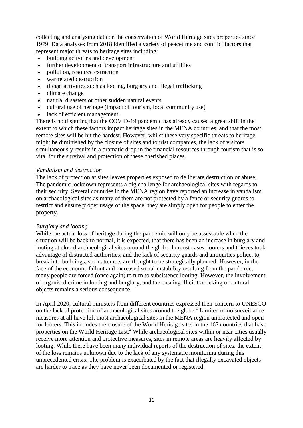collecting and analysing data on the conservation of World Heritage sites properties since 1979. Data analyses from 2018 identified a variety of peacetime and conflict factors that represent major threats to heritage sites including:

- building activities and development
- further development of transport infrastructure and utilities
- pollution, resource extraction
- war related destruction
- illegal activities such as looting, burglary and illegal trafficking
- climate change
- natural disasters or other sudden natural events
- cultural use of heritage (impact of tourism, local community use)
- lack of efficient management.

There is no disputing that the COVID-19 pandemic has already caused a great shift in the extent to which these factors impact heritage sites in the MENA countries, and that the most remote sites will be hit the hardest. However, whilst these very specific threats to heritage might be diminished by the closure of sites and tourist companies, the lack of visitors simultaneously results in a dramatic drop in the financial resources through tourism that is so vital for the survival and protection of these cherished places.

#### *Vandalism and destruction*

The lack of protection at sites leaves properties exposed to deliberate destruction or abuse. The pandemic lockdown represents a big challenge for archaeological sites with regards to their security. Several countries in the MENA region have reported an increase in vandalism on archaeological sites as many of them are not protected by a fence or security guards to restrict and ensure proper usage of the space; they are simply open for people to enter the property.

#### *Burglary and looting*

While the actual loss of heritage during the pandemic will only be assessable when the situation will be back to normal, it is expected, that there has been an increase in burglary and looting at closed archaeological sites around the globe. In most cases, looters and thieves took advantage of distracted authorities, and the lack of security guards and antiquities police, to break into buildings; such attempts are thought to be strategically planned. However, in the face of the economic fallout and increased social instability resulting from the pandemic, many people are forced (once again) to turn to subsistence looting. However, the involvement of organised crime in looting and burglary, and the ensuing illicit trafficking of cultural objects remains a serious consequence.

In April 2020, cultural ministers from different countries expressed their concern to UNESCO on the lack of protection of archaeological sites around the globe.<sup>1</sup> Limited or no surveillance measures at all have left most archaeological sites in the MENA region unprotected and open for looters. This includes the closure of the World Heritage sites in the 167 countries that have properties on the World Heritage List.<sup>2</sup> While archaeological sites within or near cities usually receive more attention and protective measures, sites in remote areas are heavily affected by looting. While there have been many individual reports of the destruction of sites, the extent of the loss remains unknown due to the lack of any systematic monitoring during this unprecedented crisis. The problem is exacerbated by the fact that illegally excavated objects are harder to trace as they have never been documented or registered.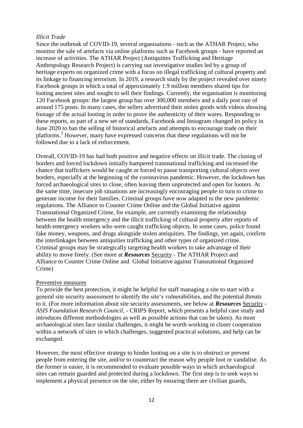#### *Illicit Trade*

Since the outbreak of COVID-19, several organisations - such as the ATHAR Project, who monitor the sale of artefacts via online platforms such as Facebook groups - have reported an increase of activities. The ATHAR Project (Antiquities Trafficking and Heritage Anthropology Research Project) is carrying out investigative studies led by a group of heritage experts on organized crime with a focus on illegal trafficking of cultural property and its linkage to financing terrorism. In 2019, a research study by the project revealed over ninety Facebook groups in which a total of approximately 1.9 million members shared tips for looting ancient sites and sought to sell their findings. Currently, the organisation is monitoring 120 Facebook groups: the largest group has over 300,000 members and a daily post rate of around 175 posts. In many cases, the sellers advertised their stolen goods with videos showing footage of the actual looting in order to prove the authenticity of their wares. Responding to these reports, as part of a new set of standards, Facebook and Instagram changed its policy in June 2020 to ban the selling of historical artefacts and attempts to encourage trade on their platforms.<sup>3</sup> However, many have expressed concerns that these regulations will not be followed due to a lack of enforcement.

Overall, COVID-19 has had both positive and negative effects on illicit trade. The closing of borders and forced lockdown initially hampered transnational trafficking and increased the chance that traffickers would be caught or forced to pause transporting cultural objects over borders, especially at the beginning of the coronavirus pandemic. However, the lockdown has forced archaeological sites to close, often leaving them unprotected and open for looters. At the same time, insecure job situations are increasingly encouraging people to turn to crime to generate income for their families. Criminal groups have now adapted to the new pandemic regulations. The Alliance to Counter Crime Online and the Global Initiative against Transnational Organized Crime, for example, are currently examining the relationship between the health emergency and the illicit trafficking of cultural property after reports of health emergency workers who were caught trafficking objects. In some cases, police found fake money, weapons, and drugs alongside stolen antiquities. The findings, yet again, confirm the interlinkages between antiquities trafficking and other types of organized crime. Criminal groups may be strategically targeting health workers to take advantage of their ability to move freely. (See more at *Resources* Security - The ATHAR Project and Alliance to Counter Crime Online and Global Initiative against Transnational Organized Crime)

#### Preventive measures

To provide the best protection, it might be helpful for staff managing a site to start with a general site security assessment to identify the site's vulnerabilities, and the potential threats to it. (For more information about site security assessments, see below at *Resources* Security - *ASIS Foundation Research Council, -* CRIPS Report, which presents a helpful case study and introduces different methodologies as well as possible actions that can be taken). As most archaeological sites face similar challenges, it might be worth working in closer cooperation within a network of sites in which challenges, suggested practical solutions, and help can be exchanged.

However, the most effective strategy to hinder looting on a site is to obstruct or prevent people from entering the site, and/or to counteract the reason why people loot or vandalise. As the former is easier, it is recommended to evaluate possible ways in which archaeological sites can remain guarded and protected during a lockdown. The first step is to seek ways to implement a physical presence on the site, either by ensuring there are civilian guards,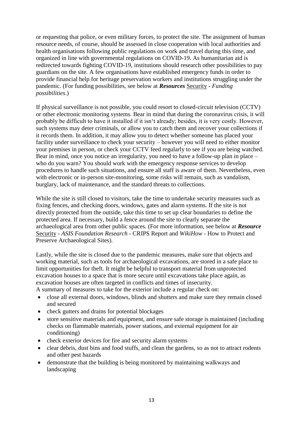or requesting that police, or even military forces, to protect the site. The assignment of human resource needs, of course, should be assessed in close cooperation with local authorities and health organisations following public regulations on work and travel during this time, and organized in line with governmental regulations on COVID-19. As humanitarian aid is redirected towards fighting COVID-19, institutions should research other possibilities to pay guardians on the site. A few organisations have established emergency funds in order to provide financial help for heritage preservation workers and institutions struggling under the pandemic. (For funding possibilities, see below at *Resources* Security - *Funding possibilities*.)

If physical surveillance is not possible, you could resort to closed-circuit television (CCTV) or other electronic monitoring systems. Bear in mind that during the coronavirus crisis, it will probably be difficult to have it installed if it isn't already; besides, it is very costly. However, such systems may deter criminals, or allow you to catch them and recover your collections if it records them. In addition, it may allow you to detect whether someone has placed your facility under surveillance to check your security – however you will need to either monitor your premises in person, or check your CCTV feed regularly to see if you are being watched. Bear in mind, once you notice an irregularity, you need to have a follow-up plan in place – who do you warn? You should work with the emergency response services to develop procedures to handle such situations, and ensure all staff is aware of them. Nevertheless, even with electronic or in-person site-monitoring, some risks will remain, such as vandalism, burglary, lack of maintenance, and the standard threats to collections.

While the site is still closed to visitors, take the time to undertake security measures such as fixing fences, and checking doors, windows, gates and alarm systems. If the site is not directly protected from the outside, take this time to set up clear boundaries to define the protected area. If necessary, build a fence around the site to clearly separate the archaeological area from other public spaces. (For more information, see below at *Resource*  Security - *ASIS Foundation Research* - CRIPS Report and *WikiHow -* How to Protect and Preserve Archaeological Sites).

Lastly, while the site is closed due to the pandemic measures, make sure that objects and working material, such as tools for archaeological excavations, are stored in a safe place to limit opportunities for theft. It might be helpful to transport material from unprotected excavation houses to a space that is more secure until excavations take place again, as excavation houses are often targeted in conflicts and times of insecurity.

A summary of measures to take for the exterior include a regular check on:

- close all external doors, windows, blinds and shutters and make sure they remain closed and secured
- check gutters and drains for potential blockages
- store sensitive materials and equipment, and ensure safe storage is maintained (including checks on flammable materials, power stations, and external equipment for air conditioning)
- check exterior devices for fire and security alarm systems
- clear debris, dust bins and food stuffs, and clean the gardens, so as not to attract rodents and other pest hazards
- demonstrate that the building is being monitored by maintaining walkways and landscaping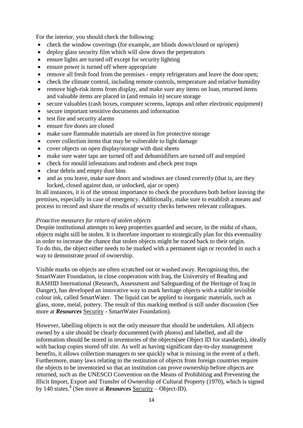For the interior, you should check the following:

- check the window coverings (for example, are blinds down/closed or up/open)
- deploy glass security film which will slow down the perpetrators
- ensure lights are turned off except for security lighting
- ensure power is turned off where appropriate
- remove all fresh food from the premises empty refrigerators and leave the door open;
- check the climate control, including remote controls, temperature and relative humidity
- remove high-risk items from display, and make sure any items on loan, returned items and valuable items are placed in (and remain in) secure storage
- secure valuables (cash boxes, computer screens, laptops and other electronic equipment)
- secure important sensitive documents and information
- test fire and security alarms
- ensure fire doors are closed
- make sure flammable materials are stored in fire protective storage
- cover collection items that may be vulnerable to light damage
- cover objects on open display/storage with dust sheets
- make sure water taps are turned off and dehumidifiers are turned off and emptied
- check for mould infestations and rodents and check pest traps
- clear debris and empty dust bins
- and as you leave, make sure doors and windows are closed correctly (that is, are they locked, closed against dust, or unlocked, ajar or open)

In all instances, it is of the utmost importance to check the procedures both before leaving the premises, especially in case of emergency. Additionally, make sure to establish a means and process to record and share the results of security checks between relevant colleagues.

#### *Proactive measures for return of stolen objects*

Despite institutional attempts to keep properties guarded and secure, in the midst of chaos, objects might still be stolen. It is therefore important to strategically plan for this eventuality in order to increase the chance that stolen objects might be traced back to their origin. To do this, the object either needs to be marked with a permanent sign or recorded in such a way to demonstrate proof of ownership.

Visible marks on objects are often scratched out or washed away. Recognising this, the SmartWater Foundation, in close cooperation with Iraq, the University of Reading and RASHID International (Research, Assessment and Safeguarding of the Heritage of Iraq in Danger), has developed an innovative way to mark heritage objects with a stable invisible colour ink, called SmartWater. The liquid can be applied to inorganic materials, such as glass, stone, metal, pottery. The result of this marking method is still under discussion (See more at *Resources* Security - SmartWater Foundation).

However, labelling objects is not the only measure that should be undertaken. All objects owned by a site should be clearly documented (with photos) and labelled, and all the information should be stored in inventories of the objects(see Object ID for standards), ideally with backup copies stored off site. As well as having significant day-to-day management benefits, it allows collection managers to see quickly what is missing in the event of a theft. Furthermore, many laws relating to the restitution of objects from foreign countries require the objects to be inventoried so that an institution can prove ownership before objects are returned, such as the UNESCO Convention on the Means of Prohibiting and Preventing the Illicit Import, Export and Transfer of Ownership of Cultural Property (1970), which is signed by 140 states.<sup>4</sup> (See more at *Resources* Security – Object-ID).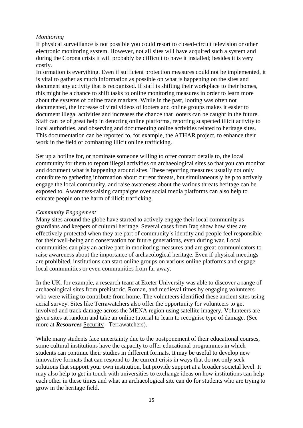#### *Monitoring*

If physical surveillance is not possible you could resort to closed-circuit television or other electronic monitoring system. However, not all sites will have acquired such a system and during the Corona crisis it will probably be difficult to have it installed; besides it is very costly.

Information is everything. Even if sufficient protection measures could not be implemented, it is vital to gather as much information as possible on what is happening on the sites and document any activity that is recognized. If staff is shifting their workplace to their homes, this might be a chance to shift tasks to online monitoring measures in order to learn more about the systems of online trade markets. While in the past, looting was often not documented, the increase of viral videos of looters and online groups makes it easier to document illegal activities and increases the chance that looters can be caught in the future. Staff can be of great help in detecting online platforms, reporting suspected illicit activity to local authorities, and observing and documenting online activities related to heritage sites. This documentation can be reported to, for example, the ATHAR project, to enhance their work in the field of combatting illicit online trafficking.

Set up a hotline for, or nominate someone willing to offer contact details to, the local community for them to report illegal activities on archaeological sites so that you can monitor and document what is happening around sites. These reporting measures usually not only contribute to gathering information about current threats, but simultaneously help to actively engage the local community, and raise awareness about the various threats heritage can be exposed to. Awareness-raising campaigns over social media platforms can also help to educate people on the harm of illicit trafficking.

#### *Community Engagement*

Many sites around the globe have started to actively engage their local community as guardians and keepers of cultural heritage. Several cases from Iraq show how sites are effectively protected when they are part of community´s identity and people feel responsible for their well-being and conservation for future generations, even during war. Local communities can play an active part in monitoring measures and are great communicators to raise awareness about the importance of archaeological heritage. Even if physical meetings are prohibited, institutions can start online groups on various online platforms and engage local communities or even communities from far away.

In the UK, for example, a research team at Exeter University was able to discover a range of archaeological sites from prehistoric, Roman, and medieval times by engaging volunteers who were willing to contribute from home. The volunteers identified these ancient sites using aerial survey. Sites like Terrawatchers also offer the opportunity for volunteers to get involved and track damage across the MENA region using satellite imagery. Volunteers are given sites at random and take an online tutorial to learn to recognise type of damage. (See more at *Resources* Security - Terrawatchers).

While many students face uncertainty due to the postponement of their educational courses, some cultural institutions have the capacity to offer educational programmes in which students can continue their studies in different formats. It may be useful to develop new innovative formats that can respond to the current crisis in ways that do not only seek solutions that support your own institution, but provide support at a broader societal level. It may also help to get in touch with universities to exchange ideas on how institutions can help each other in these times and what an archaeological site can do for students who are trying to grow in the heritage field.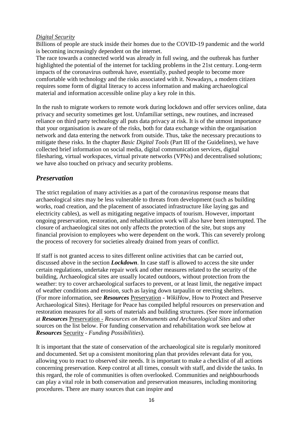#### *Digital Security*

Billions of people are stuck inside their homes due to the COVID-19 pandemic and the world is becoming increasingly dependent on the internet.

The race towards a connected world was already in full swing, and the outbreak has further highlighted the potential of the internet for tackling problems in the 21st century. Long-term impacts of the coronavirus outbreak have, essentially, pushed people to become more comfortable with technology and the risks associated with it. Nowadays, a modern citizen requires some form of digital literacy to access information and making archaeological material and information accessible online play a key role in this.

In the rush to migrate workers to remote work during lockdown and offer services online, data privacy and security sometimes get lost. Unfamiliar settings, new routines, and increased reliance on third party technology all puts data privacy at risk. It is of the utmost importance that your organisation is aware of the risks, both for data exchange within the organisation network and data entering the network from outside. Thus, take the necessary precautions to mitigate these risks. In the chapter *Basic Digital Tools* (Part III of the Guidelines), we have collected brief information on social media, digital communication services, digital filesharing, virtual workspaces, virtual private networks (VPNs) and decentralised solutions; we have also touched on privacy and security problems.

# *Preservation*

The strict regulation of many activities as a part of the coronavirus response means that archaeological sites may be less vulnerable to threats from development (such as building works, road creation, and the placement of associated infrastructure like laying gas and electricity cables), as well as mitigating negative impacts of tourism. However, important ongoing preservation, restoration, and rehabilitation work will also have been interrupted. The closure of archaeological sites not only affects the protection of the site, but stops any financial provision to employees who were dependent on the work. This can severely prolong the process of recovery for societies already drained from years of conflict.

If staff is not granted access to sites different online activities that can be carried out, discussed above in the section *Lockdown*. In case staff is allowed to access the site under certain regulations, undertake repair work and other measures related to the security of the building, Archaeological sites are usually located outdoors, without protection from the weather: try to cover archaeological surfaces to prevent, or at least limit, the negative impact of weather conditions and erosion, such as laying down tarpaulin or erecting shelters. (For more information, see *Resources* Preservation **-** *WikiHow,* How to Protect and Preserve Archaeological Sites). Heritage for Peace has compiled helpful resources on preservation and restoration measures for all sorts of materials and building structures. (See more information at *Resources* Preservation - *Resources on Monuments and Archaeological Sites* and other sources on the list below. For funding conservation and rehabilitation work see below at *Resources* Security - *Funding Possibilities*).

It is important that the state of conservation of the archaeological site is regularly monitored and documented. Set up a consistent monitoring plan that provides relevant data for you, allowing you to react to observed site needs. It is important to make a checklist of all actions concerning preservation. Keep control at all times, consult with staff, and divide the tasks. In this regard, the role of communities is often overlooked. Communities and neighbourhoods can play a vital role in both conservation and preservation measures, including monitoring procedures. There are many sources that can inspire and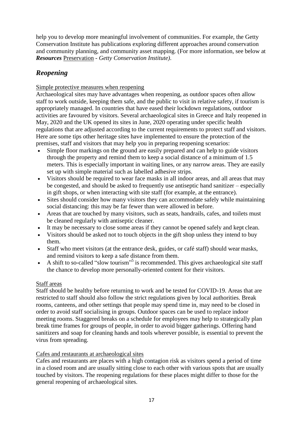help you to develop more meaningful involvement of communities. For example, the Getty Conservation Institute has publications exploring different approaches around conservation and community planning, and community asset mapping. (For more information, see below at *Resources* Preservation - *Getty Conservation Institute)*.

# *Reopening*

#### Simple protective measures when reopening

Archaeological sites may have advantages when reopening, as outdoor spaces often allow staff to work outside, keeping them safe, and the public to visit in relative safety, if tourism is appropriately managed. In countries that have eased their lockdown regulations, outdoor activities are favoured by visitors. Several archaeological sites in Greece and Italy reopened in May, 2020 and the UK opened its sites in June, 2020 operating under specific health regulations that are adjusted according to the current requirements to protect staff and visitors. Here are some tips other heritage sites have implemented to ensure the protection of the premises, staff and visitors that may help you in preparing reopening scenarios:

- Simple floor markings on the ground are easily prepared and can help to guide visitors through the property and remind them to keep a social distance of a minimum of 1.5 meters. This is especially important in waiting lines, or any narrow areas. They are easily set up with simple material such as labelled adhesive strips.
- Visitors should be required to wear face masks in all indoor areas, and all areas that may be congested, and should be asked to frequently use antiseptic hand sanitizer – especially in gift shops, or when interacting with site staff (for example, at the entrance).
- Sites should consider how many visitors they can accommodate safely while maintaining social distancing: this may be far fewer than were allowed in before.
- Areas that are touched by many visitors, such as seats, handrails, cafes, and toilets must be cleaned regularly with antiseptic cleaner.
- It may be necessary to close some areas if they cannot be opened safely and kept clean.
- Visitors should be asked not to touch objects in the gift shop unless they intend to buy them.
- Staff who meet visitors (at the entrance desk, guides, or café staff) should wear masks, and remind visitors to keep a safe distance from them.
- A shift to so-called "slow tourism"<sup>5</sup> is recommended. This gives archaeological site staff the chance to develop more personally-oriented content for their visitors.

#### Staff areas

Staff should be healthy before returning to work and be tested for COVID-19. Areas that are restricted to staff should also follow the strict regulations given by local authorities. Break rooms, canteens, and other settings that people may spend time in, may need to be closed in order to avoid staff socialising in groups. Outdoor spaces can be used to replace indoor meeting rooms. Staggered breaks on a schedule for employees may help to strategically plan break time frames for groups of people, in order to avoid bigger gatherings. Offering hand sanitizers and soap for cleaning hands and tools wherever possible, is essential to prevent the virus from spreading.

#### Cafes and restaurants at archaeological sites

Cafes and restaurants are places with a high contagion risk as visitors spend a period of time in a closed room and are usually sitting close to each other with various spots that are usually touched by visitors. The reopening regulations for these places might differ to those for the general reopening of archaeological sites.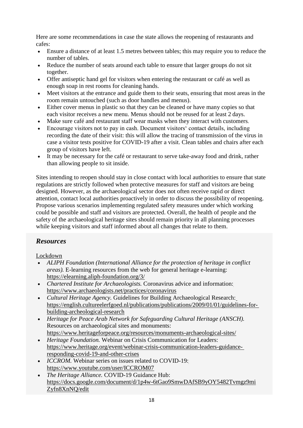Here are some recommendations in case the state allows the reopening of restaurants and cafes:

- Ensure a distance of at least 1.5 metres between tables; this may require you to reduce the number of tables.
- Reduce the number of seats around each table to ensure that larger groups do not sit together.
- Offer antiseptic hand gel for visitors when entering the restaurant or café as well as enough soap in rest rooms for cleaning hands.
- Meet visitors at the entrance and guide them to their seats, ensuring that most areas in the room remain untouched (such as door handles and menus).
- Either cover menus in plastic so that they can be cleaned or have many copies so that each visitor receives a new menu. Menus should not be reused for at least 2 days.
- Make sure café and restaurant staff wear masks when they interact with customers.
- Encourage visitors not to pay in cash. Document visitors' contact details, including recording the date of their visit: this will allow the tracing of transmission of the virus in case a visitor tests positive for COVID-19 after a visit. Clean tables and chairs after each group of visitors have left.
- It may be necessary for the café or restaurant to serve take-away food and drink, rather than allowing people to sit inside.

Sites intending to reopen should stay in close contact with local authorities to ensure that state regulations are strictly followed when protective measures for staff and visitors are being designed. However, as the archaeological sector does not often receive rapid or direct attention, contact local authorities proactively in order to discuss the possibility of reopening. Propose various scenarios implementing regulated safety measures under which working could be possible and staff and visitors are protected. Overall, the health of people and the safety of the archaeological heritage sites should remain priority in all planning processes while keeping visitors and staff informed about all changes that relate to them.

# *Resources*

Lockdown

- *ALIPH Foundation (International Alliance for the protection of heritage in conflict areas).* E-learning resources from the web for general heritage e-learning: <https://elearning.aliph-foundation.org/3/>
- *Chartered Institute for Archaeologists.* Coronavirus advice and information: <https://www.archaeologists.net/practices/coronavirus>
- *Cultural Heritage Agency.* Guidelines for Building Archaeological Research: [https://english.cultureelerfgoed.nl/publications/publications/2009/01/01/guidelines-for](https://english.cultureelerfgoed.nl/publications/publications/2009/01/01/guidelines-for-building-archeological-research)[building-archeological-research](https://english.cultureelerfgoed.nl/publications/publications/2009/01/01/guidelines-for-building-archeological-research)
- *Heritage for Peace Arab Network for Safeguarding Cultural Heritage (ANSCH).*  Resources on archaeological sites and monuments: <https://www.heritageforpeace.org/resources/monuments-archaeological-sites/>
- *Heritage Foundation.* Webinar on Crisis Communication for Leaders: [https://www.heritage.org/event/webinar-crisis-communication-leaders-guidance](https://www.heritage.org/event/webinar-crisis-communication-leaders-guidance-responding-covid-19-and-other-crises)[responding-covid-19-and-other-crises](https://www.heritage.org/event/webinar-crisis-communication-leaders-guidance-responding-covid-19-and-other-crises)
- *ICCROM*. Webinar series on issues related to COVID-19: <https://www.youtube.com/user/ICCROM07>
- *The Heritage Alliance.* COVID-19 Guidance Hub: [https://docs.google.com/document/d/1p4w-6tGao9SmwDAfSB9yOY5482Tvmgz9mi](https://docs.google.com/document/d/1p4w-6tGao9SmwDAfSB9yOY5482Tvmgz9mi%20Zyfn8XnNQ/edit) [Zyfn8XnNQ/edit](https://docs.google.com/document/d/1p4w-6tGao9SmwDAfSB9yOY5482Tvmgz9mi%20Zyfn8XnNQ/edit)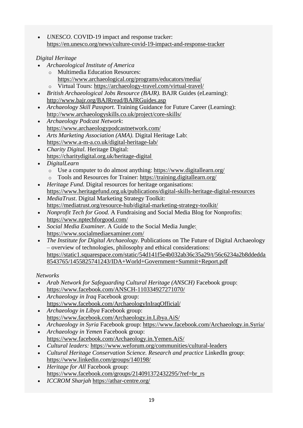• *UNESCO.* COVID-19 impact and response tracker: <https://en.unesco.org/news/culture-covid-19-impact-and-response-tracker>

# *Digital Heritage*

- *Archaeological Institute of America*
	- o Multimedia Education Resources:
		- <https://www.archaeological.org/programs/educators/media/>
	- o Virtual Tours: <https://archaeology-travel.com/virtual-travel/>
- *British Archaeological Jobs Resource (BAJR).* BAJR Guides (eLearning): <http://www.bajr.org/BAJRread/BAJRGuides.asp>
- *Archaeology Skill Passport.* Training Guidance for Future Career (Learning): <http://www.archaeologyskills.co.uk/project/core-skills/>
- *Archaeology Podcast Network*: <https://www.archaeologypodcastnetwork.com/>
- *Arts Marketing Association (AMA).* Digital Heritage Lab: <https://www.a-m-a.co.uk/digital-heritage-lab/>
- *Charity Digital.* Heritage Digital: <https://charitydigital.org.uk/heritage-digital>
- *DigitalLearn*
	- o Use a computer to do almost anything: <https://www.digitallearn.org/>
	- o Tools and Resources for Trainer:<https://training.digitallearn.org/>
- *Heritage Fund.* Digital resources for heritage organisations: <https://www.heritagefund.org.uk/publications/digital-skills-heritage-digital-resources>
- *MediaTrust*. Digital Marketing Strategy Toolkit: <https://mediatrust.org/resource-hub/digital-marketing-strategy-toolkit/>
- *Nonprofit Tech for Good.* A Fundraising and Social Media Blog for Nonprofits: <https://www.nptechforgood.com/>
- *Social Media Examiner.* A Guide to the Social Media Jungle: <https://www.socialmediaexaminer.com/>
- *The Institute for Digital Archaeology.* Publications on The Future of Digital Archaeology – overview of technologies, philosophy and ethical considerations: [https://static1.squarespace.com/static/54d141f5e4b032ab36c35a29/t/56c6234a2b8ddedda](https://static1.squarespace.com/static/54d141f5e4b032ab36c35a29/t/56c6234a2b8ddedda8543765/1455825741243/IDA%2BWorld%2BGovernment%2BSummit%2BReport.pdf) [8543765/1455825741243/IDA+World+Government+Summit+Report.pdf](https://static1.squarespace.com/static/54d141f5e4b032ab36c35a29/t/56c6234a2b8ddedda8543765/1455825741243/IDA%2BWorld%2BGovernment%2BSummit%2BReport.pdf)

# *Networks*

- *Arab Network for Safeguarding Cultural Heritage (ANSCH)* Facebook group: <https://www.facebook.com/ANSCH-110334927271070/>
- *Archaeology in Iraq* Facebook group: <https://www.facebook.com/ArchaeologyInIraqOfficial/>
- *Archaeology in Libya* Facebook group: <https://www.facebook.com/Archaeology.in.Libya.AiS/>
- *Archaeology in Syria* Facebook group: <https://www.facebook.com/Archaeology.in.Syria/>
- *Archaeology in Yemen* Facebook group: <https://www.facebook.com/Archaeology.in.Yemen.AiS/>
- *Cultural leaders:* <https://www.weforum.org/communities/cultural-leaders>
- *Cultural Heritage Conservation Science. Research and practice LinkedIn group:* <https://www.linkedin.com/groups/140198/>
- *Heritage for All* Facebook group: [https://www.facebook.com/groups/214091372432295/?ref=br\\_rs](https://www.facebook.com/groups/214091372432295/?ref=br_rs)
- *ICCROM Sharjah* <https://athar-centre.org/>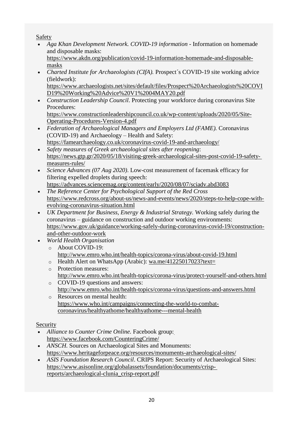# Safety

 *Aga Khan Development Network. COVID-19 information -* Information on homemade and disposable masks:

[https://www.akdn.org/publication/covid-19-information-homemade-and-disposable](https://www.akdn.org/publication/covid-19-information-homemade-and-disposable-masks)[masks](https://www.akdn.org/publication/covid-19-information-homemade-and-disposable-masks)

• Charted Institute for Archaeologists (CIfA). Prospect's COVID-19 site working advice (fieldwork):

[https://www.archaeologists.net/sites/default/files/Prospect%20Archaeologists%20COVI](https://www.archaeologists.net/sites/default/files/Prospect%20Archaeologists%20COVID19%20Working%20Advice%20V1%2004MAY20.pdf) [D19%20Working%20Advice%20V1%2004MAY20.pdf](https://www.archaeologists.net/sites/default/files/Prospect%20Archaeologists%20COVID19%20Working%20Advice%20V1%2004MAY20.pdf)

 *Construction Leadership Council*. Protecting your workforce during coronavirus Site Procedures:

[https://www.constructionleadershipcouncil.co.uk/wp-content/uploads/2020/05/Site-](https://www.constructionleadershipcouncil.co.uk/wp-content/uploads/2020/05/Site-Operating-Procedures-Version-4.pdf)[Operating-Procedures-Version-4.pdf](https://www.constructionleadershipcouncil.co.uk/wp-content/uploads/2020/05/Site-Operating-Procedures-Version-4.pdf)

- *Federation of Archaeological Managers and Employers Ltd (FAME).* Coronavirus (COVID-19) and Archaeology – Health and Safety: <https://famearchaeology.co.uk/coronavirus-covid-19-and-archaeology/>
- *Safety measures of Greek archaeological sites after reopening*: [https://news.gtp.gr/2020/05/18/visiting-greek-archaeological-sites-post-covid-19-safety](https://news.gtp.gr/2020/05/18/visiting-greek-archaeological-sites-post-covid-19-safety-measures-rules/)[measures-rules/](https://news.gtp.gr/2020/05/18/visiting-greek-archaeological-sites-post-covid-19-safety-measures-rules/)
- *Science Advances (07 Aug 2020)*. Low-cost measurement of facemask efficacy for filtering expelled droplets during speech:
	- <https://advances.sciencemag.org/content/early/2020/08/07/sciadv.abd3083>
- *The Reference Center for Psychological Support of the Red Cross* [https://www.redcross.org/about-us/news-and-events/news/2020/steps-to-help-cope-with](https://www.redcross.org/about-us/news-and-events/news/2020/steps-to-help-cope-with-evolving-coronavirus-situation.html)[evolving-coronavirus-situation.html](https://www.redcross.org/about-us/news-and-events/news/2020/steps-to-help-cope-with-evolving-coronavirus-situation.html)
- *UK Department for Business, Energy & Industrial Strategy.* Working safely during the coronavirus – guidance on construction and outdoor working environments: [https://www.gov.uk/guidance/working-safely-during-coronavirus-covid-19/construction](https://www.gov.uk/guidance/working-safely-during-coronavirus-covid-19/construction-and-other-outdoor-work)[and-other-outdoor-work](https://www.gov.uk/guidance/working-safely-during-coronavirus-covid-19/construction-and-other-outdoor-work)
- *World Health Organisation*
	- o About COVID-19: <http://www.emro.who.int/health-topics/corona-virus/about-covid-19.html>
	- o Health Alert on WhatsApp (Arabic): [wa.me/41225017023?text=](http://wa.me/41225017023?text=%D9%85%D8%B1%D8%AD%D8%A8%D8%A7)
	- o Protection measures: <http://www.emro.who.int/health-topics/corona-virus/protect-yourself-and-others.html>
	- o COVID-19 questions and answers: <http://www.emro.who.int/health-topics/corona-virus/questions-and-answers.html>
	- o Resources on mental health: [https://www.who.int/campaigns/connecting-the-world-to-combat](https://www.who.int/campaigns/connecting-the-world-to-combat-coronavirus/healthyathome/healthyathome---mental-health)[coronavirus/healthyathome/healthyathome---mental-health](https://www.who.int/campaigns/connecting-the-world-to-combat-coronavirus/healthyathome/healthyathome---mental-health)

# Security

- Alliance to Counter Crime Online. Facebook group: <https://www.facebook.com/CounteringCrime/>
- *ANSCH.* Sources on Archaeological Sites and Monuments: <https://www.heritageforpeace.org/resources/monuments-archaeological-sites/>
- *ASIS Foundation Research Council*. CRIPS Report: Security of Archaeological Sites: [https://www.asisonline.org/globalassets/foundation/documents/crisp](https://www.asisonline.org/globalassets/foundation/documents/crisp-reports/archaeological-clunia_crisp-report.pdf)[reports/archaeological-clunia\\_crisp-report.pdf](https://www.asisonline.org/globalassets/foundation/documents/crisp-reports/archaeological-clunia_crisp-report.pdf)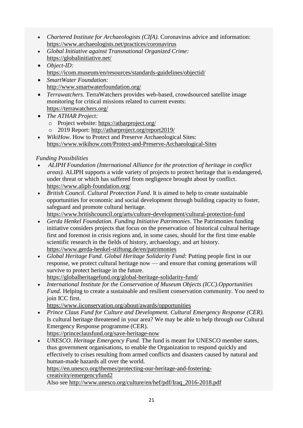- *Chartered Institute for Archaeologists (CIfA).* Coronavirus advice and information: <https://www.archaeologists.net/practices/coronavirus>
- *Global Initiative against Transnational Organized Crime:* <https://globalinitiative.net/>
- *Object-ID:* <https://icom.museum/en/resources/standards-guidelines/objectid/>
- *SmartWater Foundation:* <http://www.smartwaterfoundation.org/>
- *Terrawatchers.* TerraWatchers provides web-based, crowdsourced satellite image monitoring for critical missions related to current events: <https://terrawatchers.org/>
- *The ATHAR Project:*
	- o Project website:<https://atharproject.org/>
	- o 2019 Report: <http://atharproject.org/report2019/>
- *WikiHow*. How to Protect and Preserve Archaeological Sites: <https://www.wikihow.com/Protect-and-Preserve-Archaeological-Sites>

# *Funding Possibilities*

- *ALIPH Foundation (International Alliance for the protection of heritage in conflict areas).* ALIPH supports a wide variety of projects to protect heritage that is endangered, under threat or which has suffered from negligence brought about by conflict. <https://www.aliph-foundation.org/>
- *British Council. Cultural Protection Fund*. It is aimed to help to create sustainable opportunities for economic and social development through building capacity to foster, safeguard and promote cultural heritage.

<https://www.britishcouncil.org/arts/culture-development/cultural-protection-fund>

- *Gerda Henkel Foundation. Funding Initiative Patrimonies*. The Patrimonies funding initiative considers projects that focus on the preservation of historical cultural heritage first and foremost in crisis regions and, in some cases, should for the first time enable scientific research in the fields of history, archaeology, and art history. <https://www.gerda-henkel-stiftung.de/en/patrimonies>
- *Global Heritage Fund. Global Heritage Solidarity Fund:* Putting people first in our response, we protect cultural heritage now — and ensure that coming generations will survive to protect heritage in the future.

<https://globalheritagefund.org/global-heritage-solidarity-fund/>

 *International Institute for the Conservation of Museum Objects (ICC).Opportunities Fund.* Helping to create a sustainable and resilient conservation community. You need to join ICC first.

<https://www.iiconservation.org/about/awards/opportunities>

- *Prince Claus Fund for Culture and Development. Cultural Emergency Response (CER).*  Is cultural heritage threatened in your area? We may be able to help through our Cultural Emergency Response programme (CER). <https://princeclausfund.org/save-heritage-now>
- *UNESCO. Heritage Emergency Fund.* The fund is meant for UNESCO member states, thus government organisations, to enable the Organization to respond quickly and effectively to crises resulting from armed conflicts and disasters caused by natural and human-made hazards all over the world.

[https://en.unesco.org/themes/protecting-our-heritage-and-fostering](https://en.unesco.org/themes/protecting-our-heritage-and-fostering-creativity/emergencyfund2)[creativity/emergencyfund2](https://en.unesco.org/themes/protecting-our-heritage-and-fostering-creativity/emergencyfund2)

Also see [http://www.unesco.org/culture/en/hef/pdf/Iraq\\_2016-2018.pdf](http://www.unesco.org/culture/en/hef/pdf/Iraq_2016-2018.pdf)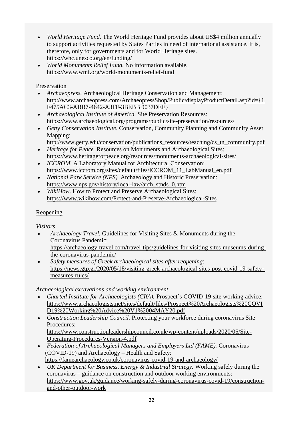- *World Heritage Fund.* The World Heritage Fund provides about US\$4 million annually to support activities requested by States Parties in need of international assistance. It is, therefore, only for governments and for World Heritage sites. <https://whc.unesco.org/en/funding/>
- *World Monuments Relief Fund.* No information available. <https://www.wmf.org/world-monuments-relief-fund>

# Preservation

- *Archaeopress.* Archaeological Heritage Conservation and Management: [http://www.archaeopress.com/ArchaeopressShop/Public/displayProductDetail.asp?id={1](http://www.archaeopress.com/ArchaeopressShop/Public/displayProductDetail.asp?id=%7b1F475AC3-ABB7-4642-A3FF-3BEBBD037DEE%7d) [F475AC3-ABB7-4642-A3FF-3BEBBD037DEE}](http://www.archaeopress.com/ArchaeopressShop/Public/displayProductDetail.asp?id=%7b1F475AC3-ABB7-4642-A3FF-3BEBBD037DEE%7d)
- *Archaeological Institute of America.* Site Preservation Resources: <https://www.archaeological.org/programs/public/site-preservation/resources/>
- *Getty Conservation Institute.* Conservation, Community Planning and Community Asset Mapping:
- [http://www.getty.edu/conservation/publications\\_resources/teaching/cs\\_tn\\_community.pdf](http://www.getty.edu/conservation/publications_resources/teaching/cs_tn_community.pdf) *Heritage for Peace.* Resources on Monuments and Archaeological Sites:
- <https://www.heritageforpeace.org/resources/monuments-archaeological-sites/> *ICCROM.* A Laboratory Manual for Architectural Conservation:
- [https://www.iccrom.org/sites/default/files/ICCROM\\_11\\_LabManual\\_en.pdf](https://www.iccrom.org/sites/default/files/ICCROM_11_LabManual_en.pdf)
- *National Park Service (NPS).* Archaeology and Historic Preservation: [https://www.nps.gov/history/local-law/arch\\_stnds\\_0.htm](https://www.nps.gov/history/local-law/arch_stnds_0.htm)
- *WikiHow*. How to Protect and Preserve Archaeological Sites: <https://www.wikihow.com/Protect-and-Preserve-Archaeological-Sites>

# Reopening

*Visitors*

- *Archaeology Travel.* Guidelines for Visiting Sites & Monuments during the Coronavirus Pandemic:
	- [https://archaeology-travel.com/travel-tips/guidelines-for-visiting-sites-museums-during](https://archaeology-travel.com/travel-tips/guidelines-for-visiting-sites-museums-during-the-coronavirus-pandemic/)[the-coronavirus-pandemic/](https://archaeology-travel.com/travel-tips/guidelines-for-visiting-sites-museums-during-the-coronavirus-pandemic/)
- *Safety measures of Greek archaeological sites after reopening*: [https://news.gtp.gr/2020/05/18/visiting-greek-archaeological-sites-post-covid-19-safety](https://news.gtp.gr/2020/05/18/visiting-greek-archaeological-sites-post-covid-19-safety-measures-rules/)[measures-rules/](https://news.gtp.gr/2020/05/18/visiting-greek-archaeological-sites-post-covid-19-safety-measures-rules/)

*Archaeological excavations and working environment*

- *Charted Institute for Archaeologists (CIfA).* Prospect's COVID-19 site working advice: [https://www.archaeologists.net/sites/default/files/Prospect%20Archaeologists%20COVI](https://www.archaeologists.net/sites/default/files/Prospect%20Archaeologists%20COVID19%20Working%20Advice%20V1%2004MAY20.pdf) [D19%20Working%20Advice%20V1%2004MAY20.pdf](https://www.archaeologists.net/sites/default/files/Prospect%20Archaeologists%20COVID19%20Working%20Advice%20V1%2004MAY20.pdf)
- *Construction Leadership Council.* Protecting your workforce during coronavirus Site Procedures: [https://www.constructionleadershipcouncil.co.uk/wp-content/uploads/2020/05/Site-](https://www.constructionleadershipcouncil.co.uk/wp-content/uploads/2020/05/Site-Operating-Procedures-Version-4.pdf)[Operating-Procedures-Version-4.pdf](https://www.constructionleadershipcouncil.co.uk/wp-content/uploads/2020/05/Site-Operating-Procedures-Version-4.pdf)
- *Federation of Archaeological Managers and Employers Ltd (FAME).* Coronavirus (COVID-19) and Archaeology – Health and Safety: <https://famearchaeology.co.uk/coronavirus-covid-19-and-archaeology/>
- *UK Department for Business, Energy & Industrial Strategy.* Working safely during the coronavirus – guidance on construction and outdoor working environments: [https://www.gov.uk/guidance/working-safely-during-coronavirus-covid-19/construction](https://www.gov.uk/guidance/working-safely-during-coronavirus-covid-19/construction-and-other-outdoor-work)[and-other-outdoor-work](https://www.gov.uk/guidance/working-safely-during-coronavirus-covid-19/construction-and-other-outdoor-work)